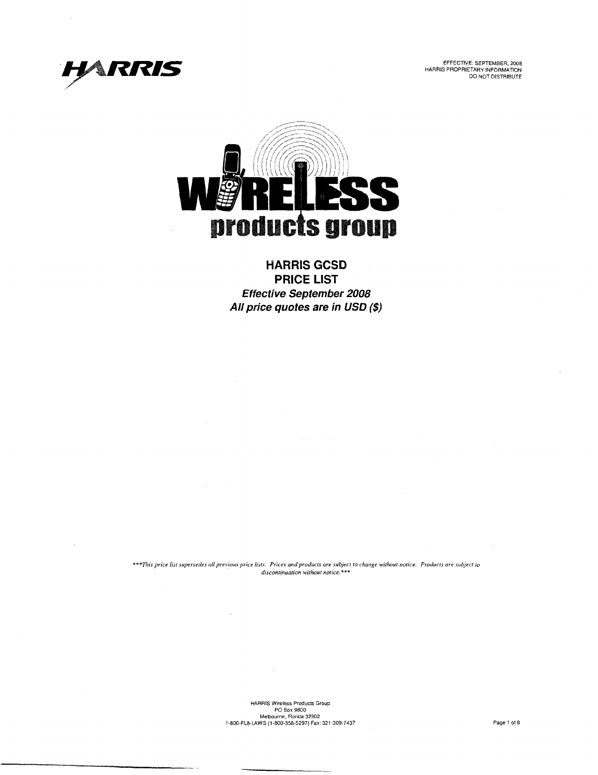

EFFECTIVE: SEPTEMBER, 2008<br>HARRIS PROPRIETARY INFORMATION<br>DO NOT DISTRIBUTE



## HARRIS GCSD PRICE LIST Effective September 2008 All price quotes are in USD (\$)

*\*\*\*This price list supersedes all previous price lists. Prices and products are subject* to *change without notice. Products are subject to*  . *discontinuation without notice.\*\*\** 

> HARRIS Wireless Products Group PO Sox 9800 Melbourne, Florida 32902 1-800-FL8-LAWS (1-800-358-5297) Fax: 321-309-7437 Page 1 ol8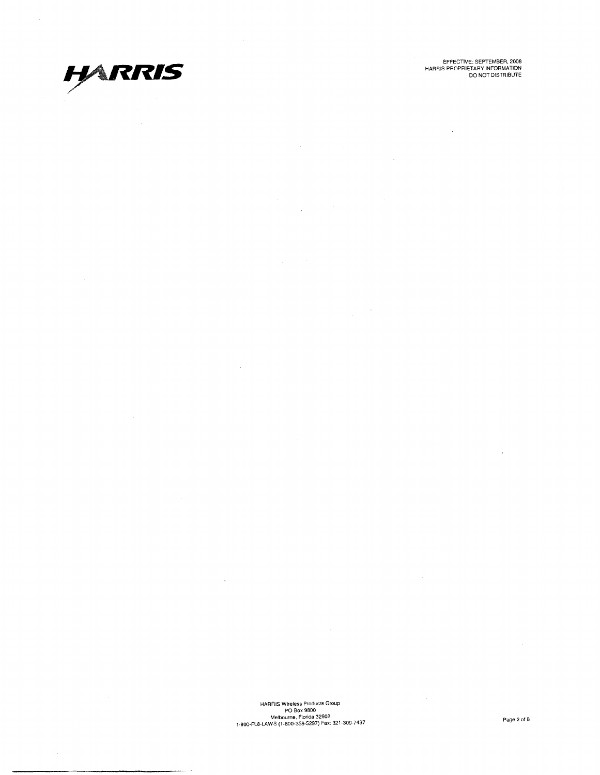

EFFECTIVE: SEPTEMBER, 2008<br>HARRIS PROPRIETARY INFORMATION<br>DO NOT DISTRIBUTE

 $\mathbf{r}$ 

 $\mathcal{A}$ 

 $\mathcal{L}$ 

 $\sim$   $\sim$ 

 $\mathbf{r}$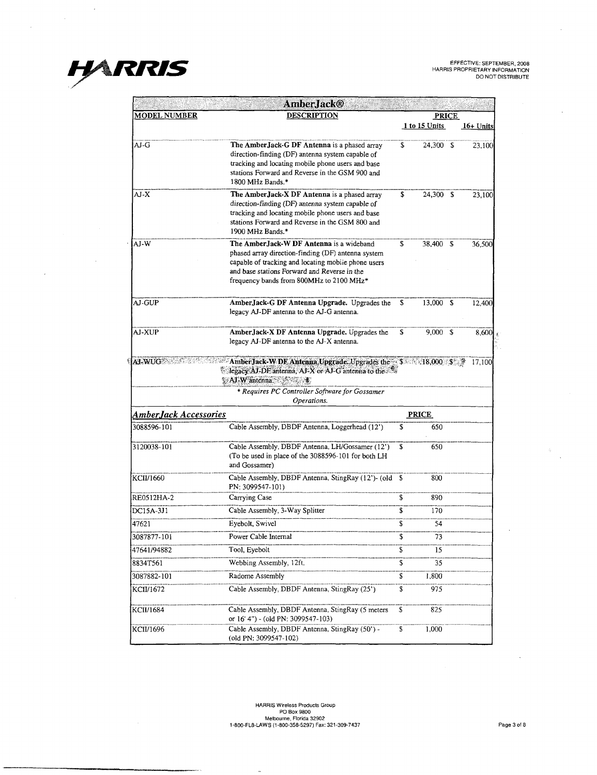

 $\bar{z}$ 

 $\sim$ 

 $\hat{\mathcal{A}}$ 

|                               | AmberJack <sup>®</sup>                                                                                                                                                                                                                             |    |                               |      |              |
|-------------------------------|----------------------------------------------------------------------------------------------------------------------------------------------------------------------------------------------------------------------------------------------------|----|-------------------------------|------|--------------|
| <u>MODEL NUMBER</u>           | <b>DESCRIPTION</b>                                                                                                                                                                                                                                 |    | <b>PRICE</b><br>1 to 15 Units |      | $16 +$ Units |
|                               |                                                                                                                                                                                                                                                    |    |                               |      |              |
| AJ-G                          | The Amber Jack-G DF Antenna is a phased array<br>direction-finding (DF) antenna system capable of<br>tracking and locating mobile phone users and base<br>stations Forward and Reverse in the GSM 900 and<br>1800 MHz Bands.*                      | S  | 24,300                        | - \$ | 23,100       |
| AJ-X                          | The Amber Jack-X DF Antenna is a phased array<br>direction-finding (DF) antenna system capable of<br>tracking and locating mobile phone users and base<br>stations Forward and Reverse in the GSM 800 and<br>1900 MHz Bands.*                      | \$ | 24,300 \$                     |      | 23,100       |
| AJ-W                          | The Amber Jack-W DF Antenna is a wideband<br>phased array direction-finding (DF) antenna system<br>capable of tracking and locating mobile phone users<br>and base stations Forward and Reverse in the<br>frequency bands from 800MHz to 2100 MHz* | \$ | 38,400                        | - \$ | 36,500       |
| AJ-GUP                        | Amber Jack-G DF Antenna Upgrade. Upgrades the<br>legacy AJ-DF antenna to the AJ-G antenna.                                                                                                                                                         | \$ | $13,000$ \$                   |      | 12,400       |
| AJ-XUP                        | Amber Jack-X DF Antenna Upgrade. Upgrades the<br>legacy AJ-DF antenna to the AJ-X antenna.                                                                                                                                                         | \$ | 9,000S                        |      | 8,600        |
| AJ-WUG                        | Amber Jack-W DF Antenna Upgrade. Upgrades the \$ \$ 18,000 \$ \$<br>$\cdot$ legacy AJ-DF antenna, AJ-X or AJ-G antenna to the $\cdot$<br>MI-W antenna. New State                                                                                   |    |                               |      | 17,100       |
|                               | * Requires PC Controller Software for Gossamer<br>Operations.                                                                                                                                                                                      |    |                               |      |              |
| <u> AmberJack Accessories</u> |                                                                                                                                                                                                                                                    |    | <b>PRICE</b>                  |      |              |
| 3088596-101                   | Cable Assembly, DBDF Antenna, Loggerhead (12')                                                                                                                                                                                                     | 5  | 650                           |      |              |
|                               |                                                                                                                                                                                                                                                    |    |                               |      |              |
| 3120038-101                   | Cable Assembly, DBDF Antenna, LH/Gossamer (12')<br>(To be used in place of the 3088596-101 for both LH<br>and Gossamer)                                                                                                                            | S  | 650                           |      |              |
| KCII/1660                     | Cable Assembly, DBDF Antenna, StingRay (12')- (old \$<br>PN: 3099547-101)                                                                                                                                                                          |    | 800                           |      |              |
| RE0512HA-2                    | Carrying Case                                                                                                                                                                                                                                      | \$ | 890                           |      |              |
| DC15A-3J1                     | Cable Assembly, 3-Way Splitter                                                                                                                                                                                                                     | \$ | 170                           |      |              |
| 47621                         | Eyebolt, Swivel                                                                                                                                                                                                                                    | \$ | 54                            |      |              |
| 3087877-101                   | Power Cable Internal                                                                                                                                                                                                                               | \$ | 73                            |      |              |
| 47641/94882                   | Tool, Eyebolt                                                                                                                                                                                                                                      | \$ | 15                            |      |              |
| 8834T561                      | Webbing Assembly, 12ft.                                                                                                                                                                                                                            | \$ | 35                            |      |              |
| 3087882-101                   | Radome Assembly                                                                                                                                                                                                                                    | \$ | 1,800                         |      |              |
| <b>KCII/1672</b>              | Cable Assembly, DBDF Antenna, StingRay (25')                                                                                                                                                                                                       | \$ | 975                           |      |              |
| KCII/1684                     | Cable Assembly, DBDF Antenna, StingRay (5 meters<br>or 16' 4") - (old PN: 3099547-103)                                                                                                                                                             | S  | 825                           |      |              |
| KCII/1696                     | Cable Assembly, DBDF Antenna, StingRay (50') -<br>(old PN: 3099547-102)                                                                                                                                                                            | \$ | 1,000                         |      |              |

HARRIS Wireless Products Group<br>PO Box 9800<br>Melbourne, Florida 32902<br>1-800-FL8-LAWS (1-800-358-5297) Fax: 321-309-7437

 $\ddot{\phantom{a}}$ 

 $\bar{L}$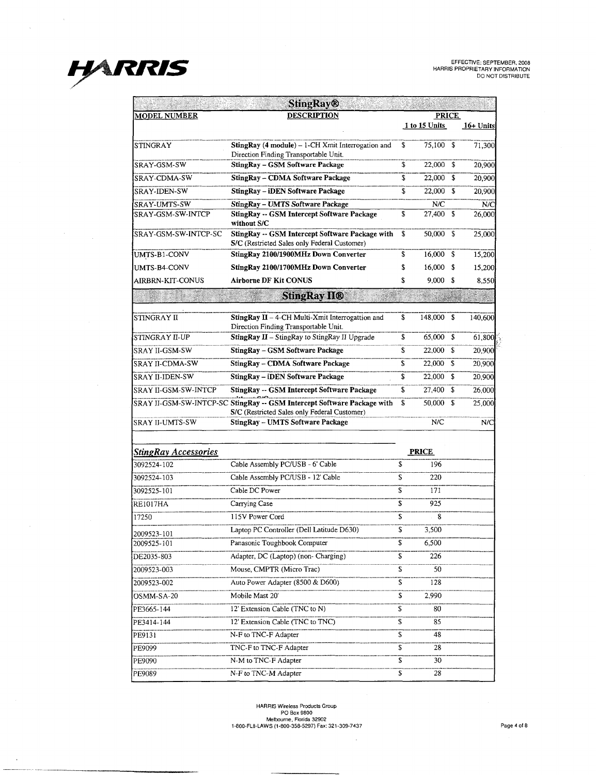|                             | <b>StingRay®</b>                                                                                                        |    |                               |              |
|-----------------------------|-------------------------------------------------------------------------------------------------------------------------|----|-------------------------------|--------------|
| <b>MODEL NUMBER</b>         | <b>DESCRIPTION</b>                                                                                                      |    | <b>PRICE</b><br>1 to 15 Units | $16+$ Units  |
| STINGRAY                    | StingRay (4 module) - 1-CH Xmit Interrogation and<br>Direction Finding Transportable Unit.                              | \$ | 75,100 \$                     | 71,300       |
| SRAY-GSM-SW                 | StingRay - GSM Software Package                                                                                         | \$ | $22,000$ \$                   | 20,900       |
| SRAY-CDMA-SW                | <b>StingRay - CDMA Software Package</b>                                                                                 | \$ | $22,000$ \$                   | 20,900       |
| SRAY-IDEN-SW                | <b>StingRay - iDEN Software Package</b>                                                                                 | \$ | 22,000 \$                     | 20,900       |
| SRAY-UMTS-SW                | <b>StingRay - UMTS Software Package</b>                                                                                 |    | N/C                           | N/C          |
| SRAY-GSM-SW-INTCP           | <b>StingRay -- GSM Intercept Software Package</b><br>without S/C                                                        | \$ | 27,400                        | \$<br>26,000 |
| SRAY-GSM-SW-INTCP-SC        | StingRay -- GSM Intercept Software Package with<br>S/C (Restricted Sales only Federal Customer)                         | \$ | 50,000 \$                     | 25,000       |
| UMTS-B1-CONV                | StingRay 2100/1900MHz Down Converter                                                                                    | \$ | $16,000 \quad $$              | 15,200       |
| UMTS-B4-CONV                | StingRay 2100/1700MHz Down Converter                                                                                    | \$ | $16,000$ \$                   | 15,200       |
| AIRBRN-KIT-CONUS            | <b>Airborne DF Kit CONUS</b>                                                                                            | \$ | $9,000$ \$                    | 8,550        |
|                             | <b>StingRay II®</b>                                                                                                     |    |                               |              |
| STINGRAY II                 | StingRay II - 4-CH Multi-Xmit Interrogattion and<br>Direction Finding Transportable Unit.                               | \$ | 148,000 \$                    | 140,600      |
| STINGRAY II-UP              | StingRay II - StingRay to StingRay II Upgrade                                                                           | \$ | 65,000 \$                     | 61,800       |
| SRAY II-GSM-SW              | <b>StingRay - GSM Software Package</b>                                                                                  | \$ | 22,000 \$                     | 20,900       |
| SRAY II-CDMA-SW             | <b>StingRay - CDMA Software Package</b>                                                                                 | S  | 22,000 \$                     | 20,900       |
| SRAY II-IDEN-SW             | <b>StingRay - iDEN Software Package</b>                                                                                 | \$ | $22,000$ \$                   | 20,900       |
| SRAY II-GSM-SW-INTCP        | <b>StingRay -- GSM Intercept Software Package</b>                                                                       | \$ | 27,400 \$                     | 26,000       |
|                             | SRAY II-GSM-SW-INTCP-SC StingRay -- GSM Intercept Software Package with<br>S/C (Restricted Sales only Federal Customer) | S  | 50,000 \$                     | 25,000       |
| SRAY II-UMTS-SW             | <b>StingRay - UMTS Software Package</b>                                                                                 |    | N/C                           | N/C          |
| <b>StingRay Accessories</b> |                                                                                                                         |    | <b>PRICE</b>                  |              |
| 3092524-102                 | Cable Assembly PC/USB - 6' Cable                                                                                        | \$ | 196                           |              |
| 3092524-103                 | Cable Assembly PC/USB - 12' Cable                                                                                       | S  | 220                           |              |
| 3092525-101                 | Cable DC Power                                                                                                          | \$ | 171                           |              |
| RE1017HA                    | Carrying Case                                                                                                           | \$ | 925                           |              |
| 17250                       | 115V Power Cord                                                                                                         | \$ | 8                             |              |
| 2009523-101                 | Laptop PC Controller (Dell Latitude D630)                                                                               | \$ | 3.500                         |              |
| 2009525-101                 | Panasonic Toughbook Computer                                                                                            |    | 6,500                         |              |
| DE2035-803                  | Adapter, DC (Laptop) (non-Charging)                                                                                     | \$ | 226                           |              |
| 2009523-003                 | Mouse, CMPTR (Micro Trac)                                                                                               | \$ | 50                            |              |
| 2009523-002                 | Auto Power Adapter (8500 & D600)                                                                                        | \$ | 128                           |              |
| OSMM-SA-20                  | Mobile Mast 20'                                                                                                         | S  | 2,990                         |              |
| PE3665-144                  | 12' Extension Cable (TNC to N)                                                                                          | S  | 80                            |              |
| PE3414-144                  | 12' Extension Cable (TNC to TNC)                                                                                        | \$ | 85                            |              |
| PE9131                      | N-F to TNC-F Adapter                                                                                                    | \$ | 48                            |              |
| PE9099                      | TNC-F to TNC-F Adapter                                                                                                  | \$ | 28                            |              |
| PE9090                      | N-M to TNC-F Adapter                                                                                                    | \$ | 30                            |              |

 $\bar{\mathcal{A}}$ 

HARRIS

 $\bar{\beta}$ 

PE9089

 $\bar{z}$ 

HARRIS Wireless Products Group PO Box 9800 Melbourne, Florida 32902 1-800-FLB-LAWS (1-800-358-5297) Fax: 321-309-7437

ò,

 $\frac{1}{28}$ 

N-F to TNC-M Adapter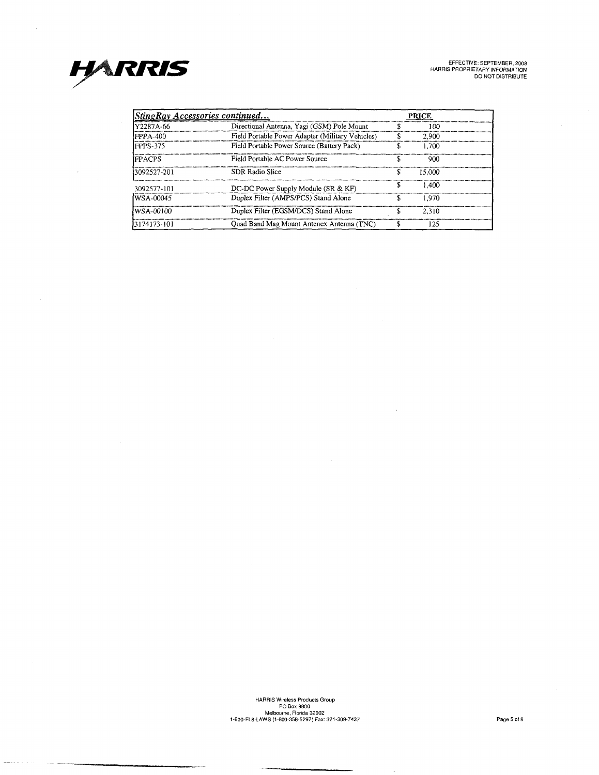

| <b>StingRay Accessories continued</b> |                                                  | <b>PRICE</b> |  |
|---------------------------------------|--------------------------------------------------|--------------|--|
| Y2287A-66                             | Directional Antenna, Yagi (GSM) Pole Mount       | 100          |  |
| FPPA-400                              | Field Portable Power Adapter (Military Vehicles) | 2.900        |  |
| IFPPS-375                             | Field Portable Power Source (Battery Pack)       | 1.700        |  |
| <b>IFPACPS</b>                        | Field Portable AC Power Source                   | 900          |  |
| 13092527-201                          | SDR Radio Slice                                  | 15.000       |  |
| 3092577-101                           | DC-DC Power Supply Module (SR & KF)              | 1.400        |  |
| IWS A-00045                           | Duplex Filter (AMPS/PCS) Stand Alone             | 1.970        |  |
| WSA-00100                             | Duplex Filter (EGSM/DCS) Stand Alone             | 2.310        |  |
| 3174173-101                           | Quad Band Mag Mount Antenex Antenna (TNC)        | 125          |  |

 $\mathbf{r}$ 

l,

HARRIS Wireless Products Group<br>PO Box 9800<br>Melbourne, Florida 32902<br>1-800-FL8-LAWS (1-800-358-5297) Fax: 321-309-7437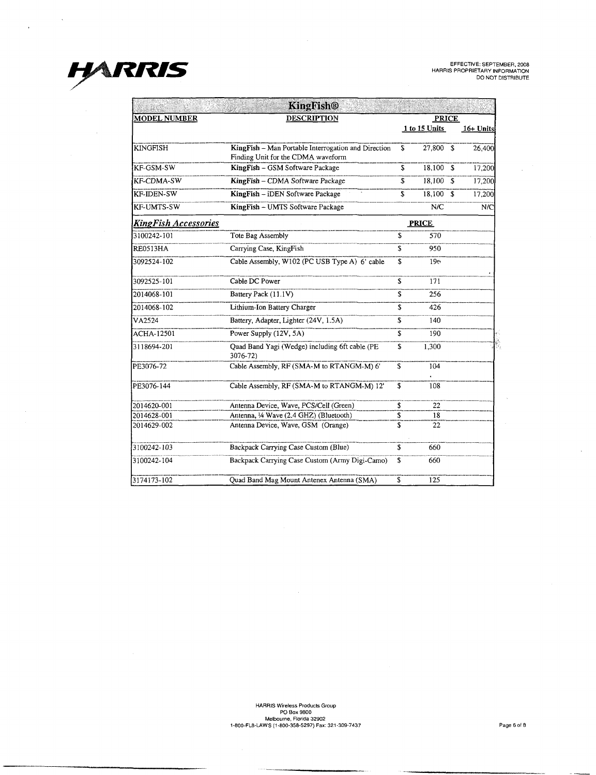

 $\bar{\lambda}$ 

|                             | <b>KingFish®</b>                                                                          |    |                 |      |           |
|-----------------------------|-------------------------------------------------------------------------------------------|----|-----------------|------|-----------|
| <b>MODEL NUMBER</b>         | <b>DESCRIPTION</b>                                                                        |    | <b>PRICE</b>    |      |           |
|                             |                                                                                           |    | 1 to 15 Units   |      | 16+ Units |
| <b>KINGFISH</b>             | KingFish - Man Portable Interrogation and Direction<br>Finding Unit for the CDMA waveform | \$ | 27,800          | -S   | 26,400    |
| KF-GSM-SW                   | KingFish - GSM Software Package                                                           | \$ | 18.100          | £.   | 17,200    |
| <b>KF-CDMA-SW</b>           | KingFish - CDMA Software Package                                                          | \$ | 18.100          | - \$ | 17,200    |
| <b>KF-IDEN-SW</b>           | KingFish - iDEN Software Package                                                          | \$ | 18,100 \$       |      | 17,200    |
| KF-UMTS-SW                  | KingFish - UMTS Software Package                                                          |    | N/C             |      | N/C       |
| <b>KingFish Accessories</b> |                                                                                           |    | <b>PRICE</b>    |      |           |
| 3100242-101                 | Tote Bag Assembly                                                                         | \$ | 570             |      |           |
| <b>RE0513HA</b>             | Carrying Case, KingFish                                                                   | \$ | 950             |      |           |
| 3092524-102                 | Cable Assembly, W102 (PC USB Type A) 6' cable                                             | S  | 19 <sub>0</sub> |      |           |
| 3092525-101                 | Cable DC Power                                                                            | \$ | 171             |      |           |
| 2014068-101                 | Battery Pack (11.1V)                                                                      | \$ | 256             |      |           |
| 2014068-102                 | Lithium-Ion Battery Charger                                                               | \$ | 426             |      |           |
| VA2524                      | Battery, Adapter, Lighter (24V, 1.5A)                                                     | \$ | 140             |      |           |
| <b>ACHA-12501</b>           | Power Supply (12V, 5A)                                                                    | \$ | 190             |      |           |
| 3118694-201                 | Quad Band Yagi (Wedge) including 6ft cable (PE<br>3076-72)                                | \$ | 1,300           |      |           |
| PE3076-72                   | Cable Assembly, RF (SMA-M to RTANGM-M) 6'                                                 | \$ | 104             |      |           |
| PE3076-144                  | Cable Assembly, RF (SMA-M to RTANGM-M) 12'                                                | \$ | 108             |      |           |
| 2014620-001                 | Antenna Device, Wave, PCS/Cell (Green)                                                    | \$ | 22              |      |           |
| 2014628-001                 | Antenna, 1/4 Wave (2.4 GHZ) (Bluetooth)                                                   | \$ | 18              |      |           |
| 2014629-002                 | Antenna Device, Wave, GSM (Orange)                                                        | S  | 22              |      |           |
| 3100242-103                 | Backpack Carrying Case Custom (Blue)                                                      | \$ | 660             |      |           |
| 3100242-104                 | Backpack Carrying Case Custom (Army Digi-Camo)                                            | \$ | 660             |      |           |
| 3174173-102                 | Quad Band Mag Mount Antenex Antenna (SMA)                                                 | \$ | 125             |      |           |

 $\bar{\alpha}$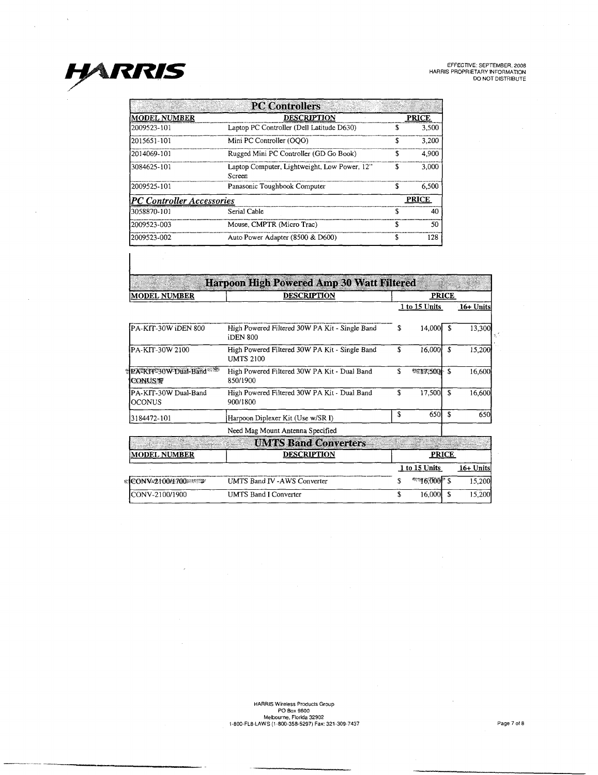EFFECTIVE: SEPTEMBER, 2008<br>HARRIS PROPRIETARY INFORMATION<br>DO NOT DISTRIBUTE

|                                  | <b>PC Controllers</b>                                  |    |              |
|----------------------------------|--------------------------------------------------------|----|--------------|
| <b>MODEL NUMBER</b>              | <b>DESCRIPTION</b>                                     |    | <b>PRICE</b> |
| 12009523-101                     | Laptop PC Controller (Dell Latitude D630)              | Ъ. | 3.500        |
| 12015651-101                     | Mini PC Controller (OOO)                               |    | 3.200        |
| 12014069-101                     | Rugged Mini PC Controller (GD Go Book)                 | ь  | 4.900        |
| 3084625-101                      | Laptop Computer, Lightweight, Low Power, 12"<br>Screen | S. | 3.000        |
| 12009525-101                     | Panasonic Toughbook Computer                           |    | 6.500        |
| <b>PC Controller Accessories</b> |                                                        |    | <b>PRICE</b> |
| 3058870-101                      | Serial Cable                                           |    | 40           |
| 2009523-003                      | Mouse, CMPTR (Micro Trac)                              |    | 50.          |
| 2009523-002                      | Auto Power Adapter (8500 & D600)                       |    | 128          |

HARRIS

|                                                    | <b>Harpoon High Powered Amp 30 Watt Filtered</b>                   |     |                              |              |           |  |
|----------------------------------------------------|--------------------------------------------------------------------|-----|------------------------------|--------------|-----------|--|
| <b>MODEL NUMBER</b>                                | <b>DESCRIPTION</b>                                                 |     | <b>PRICE</b>                 |              |           |  |
|                                                    |                                                                    |     | 1 to 15 Units                |              | 16+ Units |  |
| PA-KIT-30W iDEN 800                                | High Powered Filtered 30W PA Kit - Single Band<br><b>iDEN 800</b>  | \$  | 14,000                       | -S           | 13,300    |  |
| PA-KIT-30W 2100                                    | High Powered Filtered 30W PA Kit - Single Band<br><b>UMTS 2100</b> | \$  | 16,000                       | $\mathbf{s}$ | 15,200    |  |
| <b>PA-KIT-30W Dual-Band 8.30</b><br><b>CONUS 穿</b> | High Powered Filtered 30W PA Kit - Dual Band<br>850/1900           | \$. | \$17,500 \$                  |              | 16,600    |  |
| PA-KIT-30W Dual-Band<br>OCONUS                     | High Powered Filtered 30W PA Kit - Dual Band<br>900/1800           | \$  | 17,500                       | <b>S</b>     | 16,600    |  |
| 3184472-101                                        | Harpoon Diplexer Kit (Use w/SR I)                                  | \$  | 650                          | \$.          | 650       |  |
|                                                    | Need Mag Mount Antenna Specified                                   |     |                              |              |           |  |
|                                                    | <b>UMTS Band Converters</b>                                        |     |                              |              |           |  |
| <b>MODEL NUMBER</b>                                | <b>DESCRIPTION</b>                                                 |     | <b>PRICE</b>                 |              |           |  |
|                                                    |                                                                    |     | 1 to 15 Units                |              | 16+ Units |  |
| #ICONV-2100/1700 ####                              | <b>UMTS Band IV - AWS Converter</b>                                | \$  | $^{\circ\circ\circ}16,000$ s |              | 15,200    |  |
| CONV-2100/1900                                     | <b>UMTS Band I Converter</b>                                       | \$  | 16,000                       | £.           | 15,200    |  |

HARRIS Wireless Products Group<br>PO Box 9800<br>Melbourne, Florida 32902<br>1-800-FL8-LAWS (1-800-358-5297) Fax: 321-309-7437

Page 7 of 8